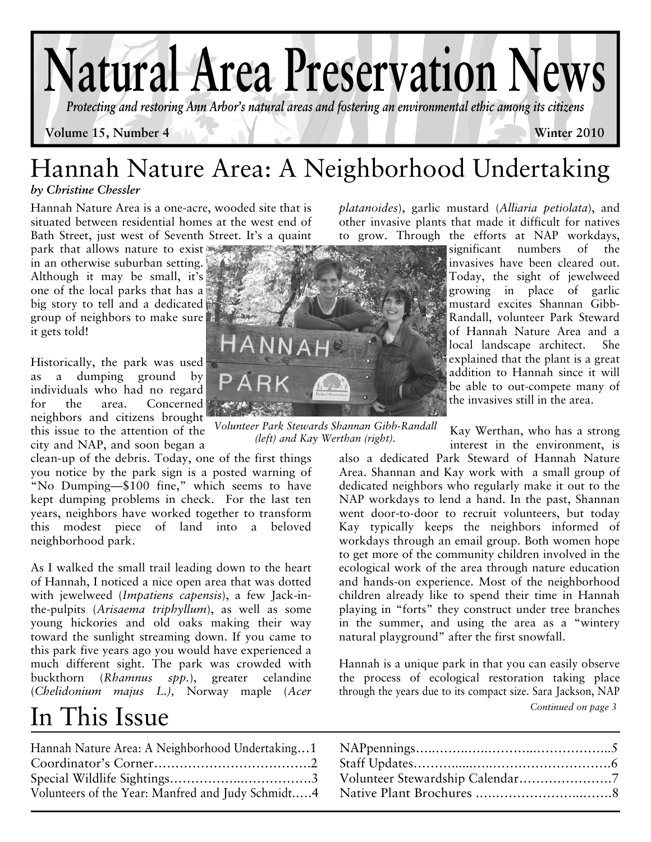# **Natural Area Preservation News**

*Protecting and restoring Ann Arbor's natural areas and fostering an environmental ethic among its citizens* 

**Volume 15, Number 4 Winter 2010 Winter 2010** 

# Hannah Nature Area: A Neighborhood Undertaking

#### *by Christine Chessler*

Hannah Nature Area is a one-acre, wooded site that is situated between residential homes at the west end of Bath Street, just west of Seventh Street. It's a quaint

park that allows nature to exist in an otherwise suburban setting. Although it may be small, it's one of the local parks that has a big story to tell and a dedicated group of neighbors to make sure it gets told!

Historically, the park was used as a dumping ground by individuals who had no regard for the area. Concerned neighbors and citizens brought this issue to the attention of the city and NAP, and soon began a

clean-up of the debris. Today, one of the first things you notice by the park sign is a posted warning of "No Dumping—\$100 fine," which seems to have kept dumping problems in check. For the last ten years, neighbors have worked together to transform this modest piece of land into a beloved neighborhood park.

As I walked the small trail leading down to the heart of Hannah, I noticed a nice open area that was dotted with jewelweed (*Impatiens capensis*), a few Jack-inthe-pulpits (*Arisaema triphyllum*), as well as some young hickories and old oaks making their way toward the sunlight streaming down. If you came to this park five years ago you would have experienced a much different sight. The park was crowded with buckthorn (*Rhamnus spp.*), greater celandine (*Chelidonium majus L.),* Norway maple (*Acer* 

### In This Issue

| Hannah Nature Area: A Neighborhood Undertaking1   |  |
|---------------------------------------------------|--|
|                                                   |  |
|                                                   |  |
| Volunteers of the Year: Manfred and Judy Schmidt4 |  |



*Volunteer Park Stewards Shannan Gibb-Randall (left) and Kay Werthan (right).* 

*platanoides*), garlic mustard (*Alliaria petiolata*), and other invasive plants that made it difficult for natives to grow. Through the efforts at NAP workdays,

significant numbers of the invasives have been cleared out. Today, the sight of jewelweed growing in place of garlic mustard excites Shannan Gibb-Randall, volunteer Park Steward of Hannah Nature Area and a local landscape architect. She explained that the plant is a great addition to Hannah since it will be able to out-compete many of the invasives still in the area.

Kay Werthan, who has a strong interest in the environment, is

also a dedicated Park Steward of Hannah Nature Area. Shannan and Kay work with a small group of dedicated neighbors who regularly make it out to the NAP workdays to lend a hand. In the past, Shannan went door-to-door to recruit volunteers, but today Kay typically keeps the neighbors informed of workdays through an email group. Both women hope to get more of the community children involved in the ecological work of the area through nature education and hands-on experience. Most of the neighborhood children already like to spend their time in Hannah playing in "forts" they construct under tree branches in the summer, and using the area as a "wintery natural playground" after the first snowfall.

Hannah is a unique park in that you can easily observe the process of ecological restoration taking place through the years due to its compact size. Sara Jackson, NAP *Continued on page 3* 

| Volunteer Stewardship Calendar7 |  |
|---------------------------------|--|
|                                 |  |
|                                 |  |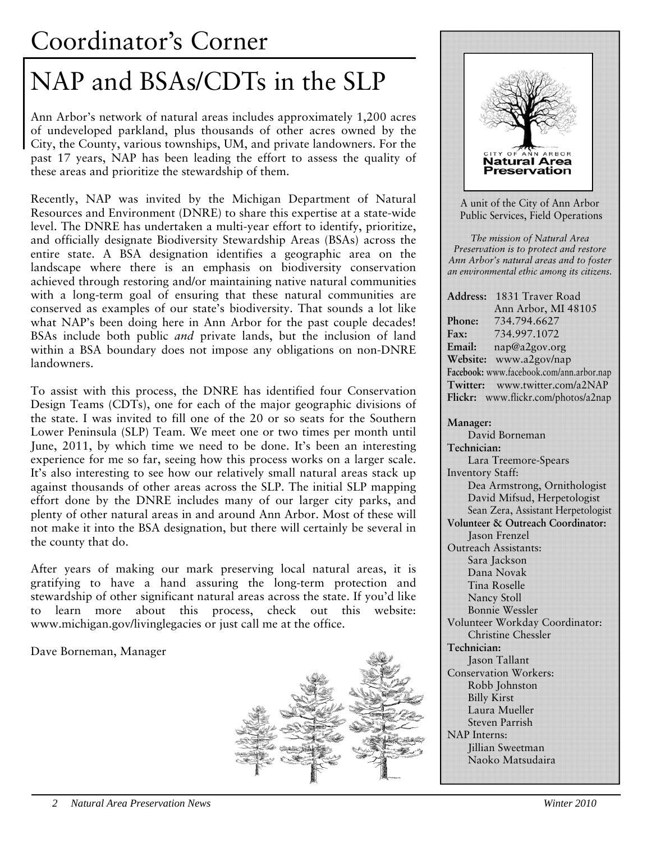### Coordinator's Corner

### NAP and BSAs/CDTs in the SLP

Ann Arbor's network of natural areas includes approximately 1,200 acres of undeveloped parkland, plus thousands of other acres owned by the City, the County, various townships, UM, and private landowners. For the past 17 years, NAP has been leading the effort to assess the quality of these areas and prioritize the stewardship of them.

Recently, NAP was invited by the Michigan Department of Natural Resources and Environment (DNRE) to share this expertise at a state-wide level. The DNRE has undertaken a multi-year effort to identify, prioritize, and officially designate Biodiversity Stewardship Areas (BSAs) across the entire state. A BSA designation identifies a geographic area on the landscape where there is an emphasis on biodiversity conservation achieved through restoring and/or maintaining native natural communities with a long-term goal of ensuring that these natural communities are conserved as examples of our state's biodiversity. That sounds a lot like what NAP's been doing here in Ann Arbor for the past couple decades! BSAs include both public *and* private lands, but the inclusion of land within a BSA boundary does not impose any obligations on non-DNRE landowners.

To assist with this process, the DNRE has identified four Conservation Design Teams (CDTs), one for each of the major geographic divisions of the state. I was invited to fill one of the 20 or so seats for the Southern Lower Peninsula (SLP) Team. We meet one or two times per month until June, 2011, by which time we need to be done. It's been an interesting experience for me so far, seeing how this process works on a larger scale. It's also interesting to see how our relatively small natural areas stack up against thousands of other areas across the SLP. The initial SLP mapping effort done by the DNRE includes many of our larger city parks, and plenty of other natural areas in and around Ann Arbor. Most of these will not make it into the BSA designation, but there will certainly be several in the county that do.

After years of making our mark preserving local natural areas, it is gratifying to have a hand assuring the long-term protection and stewardship of other significant natural areas across the state. If you'd like to learn more about this process, check out this website: www.michigan.gov/livinglegacies or just call me at the office.

Dave Borneman, Manager



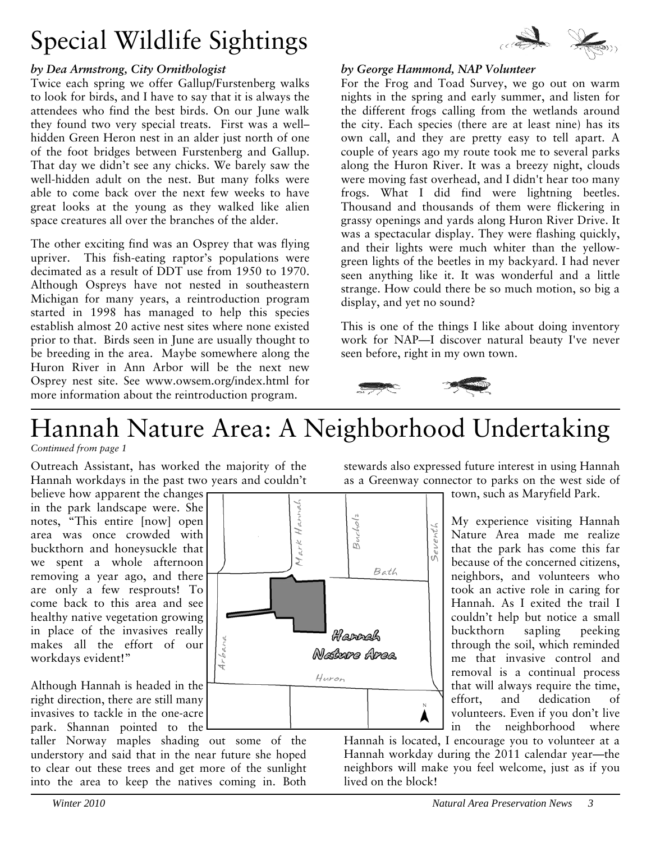### Special Wildlife Sightings

#### *by Dea Armstrong, City Ornithologist*

Twice each spring we offer Gallup/Furstenberg walks to look for birds, and I have to say that it is always the attendees who find the best birds. On our June walk they found two very special treats. First was a well– hidden Green Heron nest in an alder just north of one of the foot bridges between Furstenberg and Gallup. That day we didn't see any chicks. We barely saw the well-hidden adult on the nest. But many folks were able to come back over the next few weeks to have great looks at the young as they walked like alien space creatures all over the branches of the alder.

The other exciting find was an Osprey that was flying upriver. This fish-eating raptor's populations were decimated as a result of DDT use from 1950 to 1970. Although Ospreys have not nested in southeastern Michigan for many years, a reintroduction program started in 1998 has managed to help this species establish almost 20 active nest sites where none existed prior to that. Birds seen in June are usually thought to be breeding in the area. Maybe somewhere along the Huron River in Ann Arbor will be the next new Osprey nest site. See www.owsem.org/index.html for more information about the reintroduction program.



#### *by George Hammond, NAP Volunteer*

For the Frog and Toad Survey, we go out on warm nights in the spring and early summer, and listen for the different frogs calling from the wetlands around the city. Each species (there are at least nine) has its own call, and they are pretty easy to tell apart. A couple of years ago my route took me to several parks along the Huron River. It was a breezy night, clouds were moving fast overhead, and I didn't hear too many frogs. What I did find were lightning beetles. Thousand and thousands of them were flickering in grassy openings and yards along Huron River Drive. It was a spectacular display. They were flashing quickly, and their lights were much whiter than the yellowgreen lights of the beetles in my backyard. I had never seen anything like it. It was wonderful and a little strange. How could there be so much motion, so big a display, and yet no sound?

This is one of the things I like about doing inventory work for NAP—I discover natural beauty I've never seen before, right in my own town.



A

### Hannah Nature Area: A Neighborhood Undertaking

Bucholz

Harrah

Natare Area

Huron

Bath

Mark Hannal

#### *Continued from page 1*

Outreach Assistant, has worked the majority of the Hannah workdays in the past two years and couldn't

believe how apparent the changes in the park landscape were. She notes, "This entire [now] open area was once crowded with buckthorn and honeysuckle that we spent a whole afternoon removing a year ago, and there are only a few resprouts! To come back to this area and see healthy native vegetation growing in place of the invasives really makes all the effort of our workdays evident!"

Although Hannah is headed in the right direction, there are still many invasives to tackle in the one-acre park. Shannan pointed to the

taller Norway maples shading out some of the understory and said that in the near future she hoped to clear out these trees and get more of the sunlight into the area to keep the natives coming in. Both

Arbana

stewards also expressed future interest in using Hannah as a Greenway connector to parks on the west side of town, such as Maryfield Park.

> My experience visiting Hannah Nature Area made me realize that the park has come this far because of the concerned citizens,

neighbors, and volunteers who took an active role in caring for Hannah. As I exited the trail I couldn't help but notice a small buckthorn sapling peeking through the soil, which reminded me that invasive control and removal is a continual process that will always require the time, effort, and dedication of volunteers. Even if you don't live in the neighborhood where

Hannah is located, I encourage you to volunteer at a Hannah workday during the 2011 calendar year—the neighbors will make you feel welcome, just as if you lived on the block!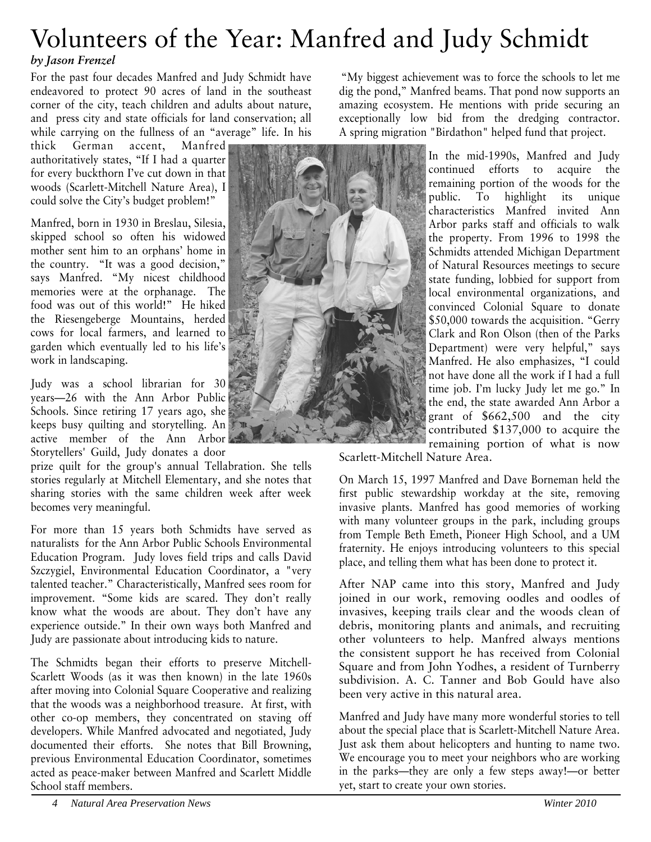# Volunteers of the Year: Manfred and Judy Schmidt

#### *by Jason Frenzel*

For the past four decades Manfred and Judy Schmidt have endeavored to protect 90 acres of land in the southeast corner of the city, teach children and adults about nature, and press city and state officials for land conservation; all while carrying on the fullness of an "average" life. In his

thick German accent, Manfred authoritatively states, "If I had a quarter for every buckthorn I've cut down in that woods (Scarlett-Mitchell Nature Area), I could solve the City's budget problem!"

Manfred, born in 1930 in Breslau, Silesia, skipped school so often his widowed mother sent him to an orphans' home in the country. "It was a good decision," says Manfred. "My nicest childhood memories were at the orphanage. The food was out of this world!" He hiked the Riesengeberge Mountains, herded cows for local farmers, and learned to garden which eventually led to his life's work in landscaping.

Judy was a school librarian for 30 years—26 with the Ann Arbor Public Schools. Since retiring 17 years ago, she keeps busy quilting and storytelling. An active member of the Ann Arbor Storytellers' Guild, Judy donates a door

prize quilt for the group's annual Tellabration. She tells stories regularly at Mitchell Elementary, and she notes that sharing stories with the same children week after week becomes very meaningful.

For more than 15 years both Schmidts have served as naturalists for the Ann Arbor Public Schools Environmental Education Program. Judy loves field trips and calls David Szczygiel, Environmental Education Coordinator, a "very talented teacher." Characteristically, Manfred sees room for improvement. "Some kids are scared. They don't really know what the woods are about. They don't have any experience outside." In their own ways both Manfred and Judy are passionate about introducing kids to nature.

The Schmidts began their efforts to preserve Mitchell-Scarlett Woods (as it was then known) in the late 1960s after moving into Colonial Square Cooperative and realizing that the woods was a neighborhood treasure. At first, with other co-op members, they concentrated on staving off developers. While Manfred advocated and negotiated, Judy documented their efforts. She notes that Bill Browning, previous Environmental Education Coordinator, sometimes acted as peace-maker between Manfred and Scarlett Middle School staff members.



"My biggest achievement was to force the schools to let me dig the pond," Manfred beams. That pond now supports an amazing ecosystem. He mentions with pride securing an exceptionally low bid from the dredging contractor. A spring migration "Birdathon" helped fund that project.

> In the mid-1990s, Manfred and Judy continued efforts to acquire the remaining portion of the woods for the public. To highlight its unique characteristics Manfred invited Ann Arbor parks staff and officials to walk the property. From 1996 to 1998 the Schmidts attended Michigan Department of Natural Resources meetings to secure state funding, lobbied for support from local environmental organizations, and convinced Colonial Square to donate \$50,000 towards the acquisition. "Gerry Clark and Ron Olson (then of the Parks Department) were very helpful," says Manfred. He also emphasizes, "I could not have done all the work if I had a full time job. I'm lucky Judy let me go." In the end, the state awarded Ann Arbor a grant of \$662,500 and the city contributed \$137,000 to acquire the remaining portion of what is now

Scarlett-Mitchell Nature Area.

On March 15, 1997 Manfred and Dave Borneman held the first public stewardship workday at the site, removing invasive plants. Manfred has good memories of working with many volunteer groups in the park, including groups from Temple Beth Emeth, Pioneer High School, and a UM fraternity. He enjoys introducing volunteers to this special place, and telling them what has been done to protect it.

After NAP came into this story, Manfred and Judy joined in our work, removing oodles and oodles of invasives, keeping trails clear and the woods clean of debris, monitoring plants and animals, and recruiting other volunteers to help. Manfred always mentions the consistent support he has received from Colonial Square and from John Yodhes, a resident of Turnberry subdivision. A. C. Tanner and Bob Gould have also been very active in this natural area.

Manfred and Judy have many more wonderful stories to tell about the special place that is Scarlett-Mitchell Nature Area. Just ask them about helicopters and hunting to name two. We encourage you to meet your neighbors who are working in the parks—they are only a few steps away!—or better yet, start to create your own stories.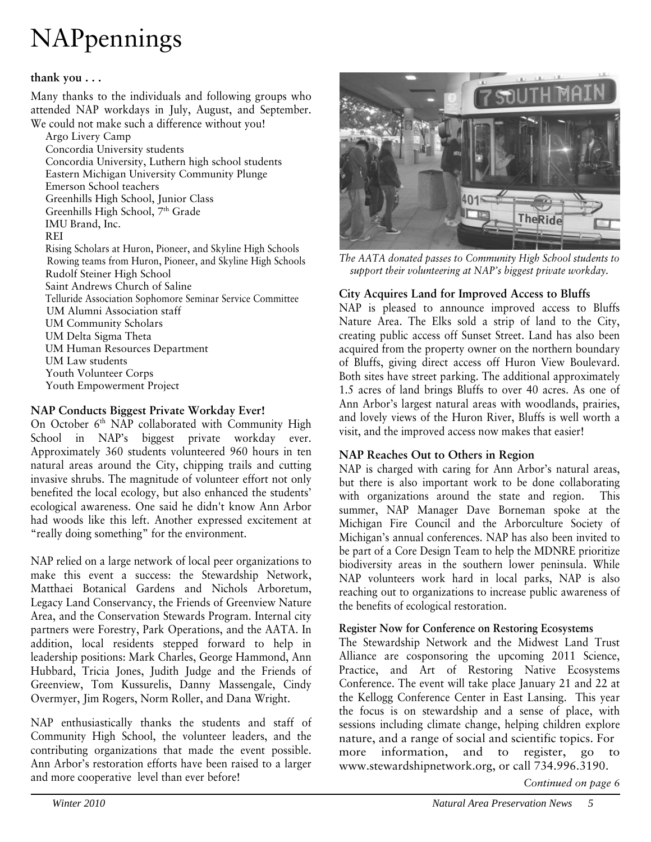# NAPpennings

#### **thank you . . .**

Many thanks to the individuals and following groups who attended NAP workdays in July, August, and September. We could not make such a difference without you!

 Argo Livery Camp Concordia University students Concordia University, Luthern high school students Eastern Michigan University Community Plunge Emerson School teachers Greenhills High School, Junior Class Greenhills High School, 7<sup>th</sup> Grade IMU Brand, Inc. REI Rising Scholars at Huron, Pioneer, and Skyline High Schools Rowing teams from Huron, Pioneer, and Skyline High Schools Rudolf Steiner High School Saint Andrews Church of Saline Telluride Association Sophomore Seminar Service Committee UM Alumni Association staff UM Community Scholars UM Delta Sigma Theta UM Human Resources Department UM Law students Youth Volunteer Corps Youth Empowerment Project

#### **NAP Conducts Biggest Private Workday Ever!**

On October 6<sup>th</sup> NAP collaborated with Community High School in NAP's biggest private workday ever. Approximately 360 students volunteered 960 hours in ten natural areas around the City, chipping trails and cutting invasive shrubs. The magnitude of volunteer effort not only benefited the local ecology, but also enhanced the students' ecological awareness. One said he didn't know Ann Arbor had woods like this left. Another expressed excitement at "really doing something" for the environment.

NAP relied on a large network of local peer organizations to make this event a success: the Stewardship Network, Matthaei Botanical Gardens and Nichols Arboretum, Legacy Land Conservancy, the Friends of Greenview Nature Area, and the Conservation Stewards Program. Internal city partners were Forestry, Park Operations, and the AATA. In addition, local residents stepped forward to help in leadership positions: Mark Charles, George Hammond, Ann Hubbard, Tricia Jones, Judith Judge and the Friends of Greenview, Tom Kussurelis, Danny Massengale, Cindy Overmyer, Jim Rogers, Norm Roller, and Dana Wright.

NAP enthusiastically thanks the students and staff of Community High School, the volunteer leaders, and the contributing organizations that made the event possible. Ann Arbor's restoration efforts have been raised to a larger and more cooperative level than ever before!



*The AATA donated passes to Community High School students to support their volunteering at NAP's biggest private workday.* 

#### **City Acquires Land for Improved Access to Bluffs**

NAP is pleased to announce improved access to Bluffs Nature Area. The Elks sold a strip of land to the City, creating public access off Sunset Street. Land has also been acquired from the property owner on the northern boundary of Bluffs, giving direct access off Huron View Boulevard. Both sites have street parking. The additional approximately 1.5 acres of land brings Bluffs to over 40 acres. As one of Ann Arbor's largest natural areas with woodlands, prairies, and lovely views of the Huron River, Bluffs is well worth a visit, and the improved access now makes that easier!

#### **NAP Reaches Out to Others in Region**

NAP is charged with caring for Ann Arbor's natural areas, but there is also important work to be done collaborating with organizations around the state and region. This summer, NAP Manager Dave Borneman spoke at the Michigan Fire Council and the Arborculture Society of Michigan's annual conferences. NAP has also been invited to be part of a Core Design Team to help the MDNRE prioritize biodiversity areas in the southern lower peninsula. While NAP volunteers work hard in local parks, NAP is also reaching out to organizations to increase public awareness of the benefits of ecological restoration.

#### **Register Now for Conference on Restoring Ecosystems**

The Stewardship Network and the Midwest Land Trust Alliance are cosponsoring the upcoming 2011 Science, Practice, and Art of Restoring Native Ecosystems Conference. The event will take place January 21 and 22 at the Kellogg Conference Center in East Lansing. This year the focus is on stewardship and a sense of place, with sessions including climate change, helping children explore nature, and a range of social and scientific topics. For more information, and to register, go to www.stewardshipnetwork.org, or call 734.996.3190.

*Continued on page 6*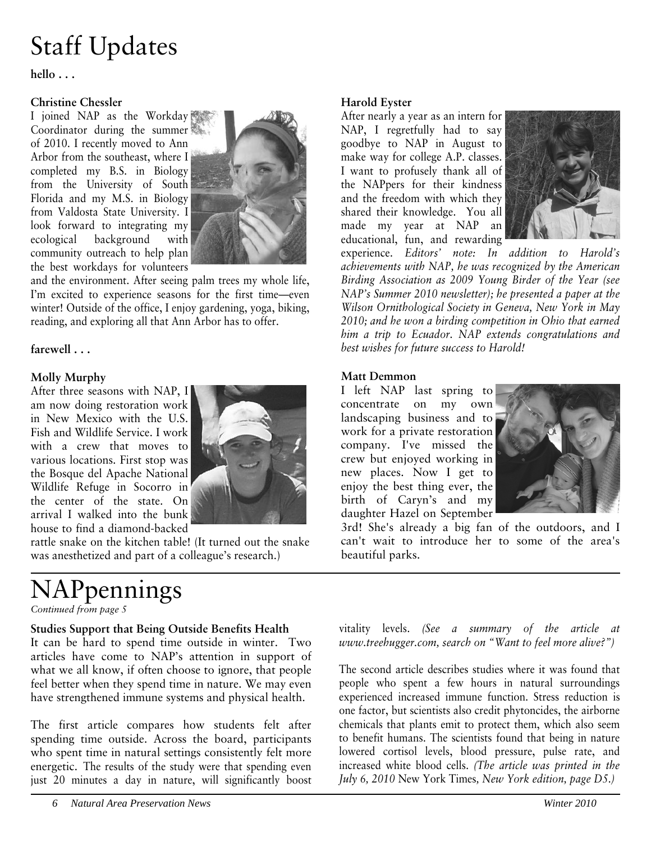### Staff Updates

**hello . . .** 

#### **Christine Chessler**

I joined NAP as the Workday Coordinator during the summer of 2010. I recently moved to Ann Arbor from the southeast, where I completed my B.S. in Biology from the University of South Florida and my M.S. in Biology from Valdosta State University. I look forward to integrating my ecological background with community outreach to help plan the best workdays for volunteers



and the environment. After seeing palm trees my whole life, I'm excited to experience seasons for the first time—even winter! Outside of the office, I enjoy gardening, yoga, biking, reading, and exploring all that Ann Arbor has to offer.

#### **farewell . . .**

#### **Molly Murphy**

After three seasons with NAP, I am now doing restoration work in New Mexico with the U.S. Fish and Wildlife Service. I work with a crew that moves to various locations. First stop was the Bosque del Apache National Wildlife Refuge in Socorro in the center of the state. On arrival I walked into the bunk house to find a diamond-backed



rattle snake on the kitchen table! (It turned out the snake was anesthetized and part of a colleague's research.)

### NAPpennings

*Continued from page 5*

#### **Studies Support that Being Outside Benefits Health**

It can be hard to spend time outside in winter. Two articles have come to NAP's attention in support of what we all know, if often choose to ignore, that people feel better when they spend time in nature. We may even have strengthened immune systems and physical health.

The first article compares how students felt after spending time outside. Across the board, participants who spent time in natural settings consistently felt more energetic. The results of the study were that spending even just 20 minutes a day in nature, will significantly boost

#### **Harold Eyster**

After nearly a year as an intern for NAP, I regretfully had to say goodbye to NAP in August to make way for college A.P. classes. I want to profusely thank all of the NAPpers for their kindness and the freedom with which they shared their knowledge. You all made my year at NAP an educational, fun, and rewarding



experience. *Editors' note: In addition to Harold's achievements with NAP, he was recognized by the American Birding Association as 2009 Young Birder of the Year (see NAP's Summer 2010 newsletter); he presented a paper at the Wilson Ornithological Society in Geneva, New York in May 2010; and he won a birding competition in Ohio that earned him a trip to Ecuador. NAP extends congratulations and best wishes for future success to Harold!*

#### **Matt Demmon**

I left NAP last spring to concentrate on my own landscaping business and to work for a private restoration company. I've missed the crew but enjoyed working in new places. Now I get to enjoy the best thing ever, the birth of Caryn's and my daughter Hazel on September



3rd! She's already a big fan of the outdoors, and I can't wait to introduce her to some of the area's beautiful parks.

vitality levels. *(See a summary of the article at www.treehugger.com, search on "Want to feel more alive?")* 

The second article describes studies where it was found that people who spent a few hours in natural surroundings experienced increased immune function. Stress reduction is one factor, but scientists also credit phytoncides, the airborne chemicals that plants emit to protect them, which also seem to benefit humans. The scientists found that being in nature lowered cortisol levels, blood pressure, pulse rate, and increased white blood cells. *(The article was printed in the July 6, 2010* New York Times*, New York edition, page D5.)*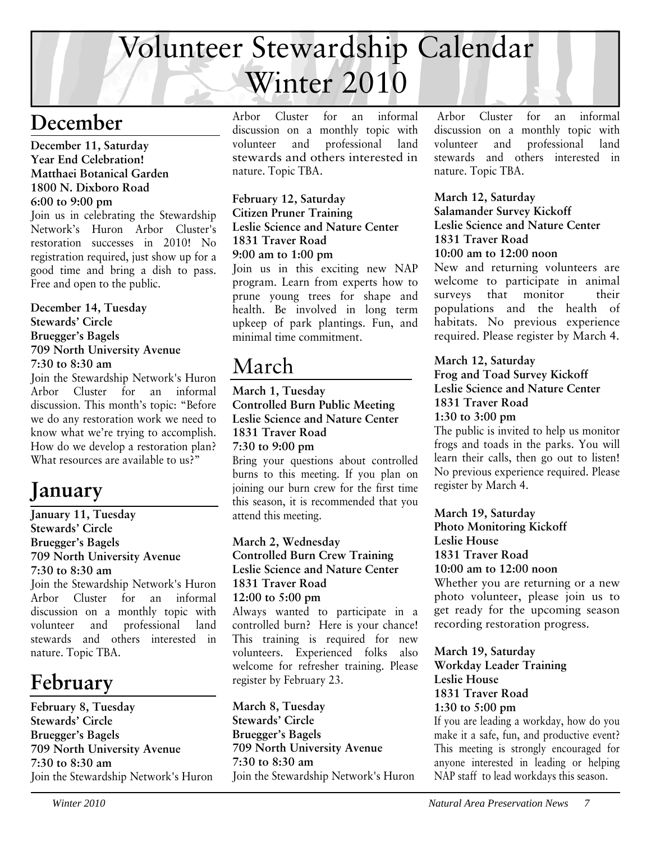# Volunteer Stewardship Calendar Winter 2010

### **December**

#### **December 11, Saturday Year End Celebration! Matthaei Botanical Garden 1800 N. Dixboro Road 6:00 to 9:00 pm**

Join us in celebrating the Stewardship Network's Huron Arbor Cluster's restoration successes in 2010! No registration required, just show up for a good time and bring a dish to pass. Free and open to the public.

#### **December 14, Tuesday Stewards' Circle Bruegger's Bagels 709 North University Avenue 7:30 to 8:30 am**

Join the Stewardship Network's Huron Arbor Cluster for an informal discussion. This month's topic: "Before we do any restoration work we need to know what we're trying to accomplish. How do we develop a restoration plan? What resources are available to us?"

### **January**

#### **January 11, Tuesday Stewards' Circle Bruegger's Bagels 709 North University Avenue 7:30 to 8:30 am**

Join the Stewardship Network's Huron Arbor Cluster for an informal discussion on a monthly topic with volunteer and professional land stewards and others interested in nature. Topic TBA.

### **February**

**February 8, Tuesday Stewards' Circle Bruegger's Bagels 709 North University Avenue 7:30 to 8:30 am**  Join the Stewardship Network's Huron Arbor Cluster for an informal discussion on a monthly topic with volunteer and professional land stewards and others interested in nature. Topic TBA.

#### **February 12, Saturday Citizen Pruner Training Leslie Science and Nature Center 1831 Traver Road 9:00 am to 1:00 pm**

Join us in this exciting new NAP program. Learn from experts how to prune young trees for shape and health. Be involved in long term upkeep of park plantings. Fun, and minimal time commitment.

### March

#### **March 1, Tuesday Controlled Burn Public Meeting Leslie Science and Nature Center 1831 Traver Road 7:30 to 9:00 pm**

Bring your questions about controlled burns to this meeting. If you plan on joining our burn crew for the first time this season, it is recommended that you attend this meeting.

#### **March 2, Wednesday Controlled Burn Crew Training Leslie Science and Nature Center 1831 Traver Road 12:00 to 5:00 pm**

Always wanted to participate in a controlled burn? Here is your chance! This training is required for new volunteers. Experienced folks also welcome for refresher training. Please register by February 23.

**March 8, Tuesday Stewards' Circle Bruegger's Bagels 709 North University Avenue 7:30 to 8:30 am**  Join the Stewardship Network's Huron

 Arbor Cluster for an informal discussion on a monthly topic with<br>volunteer and professional land volunteer and stewards and others interested in nature. Topic TBA.

#### **March 12, Saturday Salamander Survey Kickoff Leslie Science and Nature Center 1831 Traver Road**

#### **10:00 am to 12:00 noon**

New and returning volunteers are welcome to participate in animal surveys that monitor their populations and the health of habitats. No previous experience required. Please register by March 4.

#### **March 12, Saturday**

**Frog and Toad Survey Kickoff Leslie Science and Nature Center 1831 Traver Road 1:30 to 3:00 pm** 

The public is invited to help us monitor frogs and toads in the parks. You will learn their calls, then go out to listen! No previous experience required. Please register by March 4.

#### **March 19, Saturday Photo Monitoring Kickoff Leslie House 1831 Traver Road 10:00 am to 12:00 noon**

Whether you are returning or a new photo volunteer, please join us to get ready for the upcoming season recording restoration progress.

#### **March 19, Saturday Workday Leader Training Leslie House 1831 Traver Road 1:30 to 5:00 pm**

If you are leading a workday, how do you make it a safe, fun, and productive event? This meeting is strongly encouraged for anyone interested in leading or helping NAP staff to lead workdays this season.